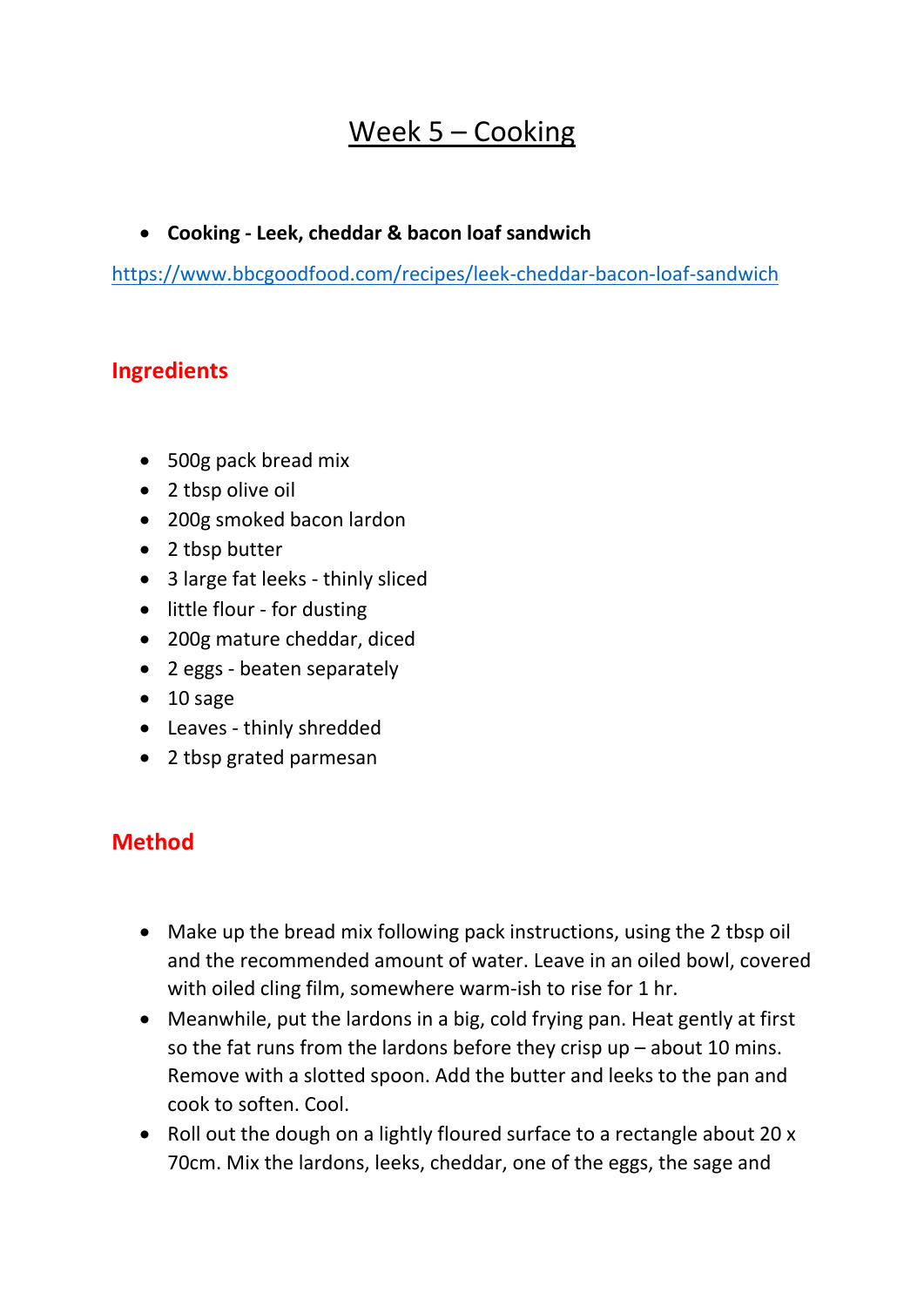## Week 5 – Cooking

## **Cooking - Leek, cheddar & bacon loaf sandwich**

<https://www.bbcgoodfood.com/recipes/leek-cheddar-bacon-loaf-sandwich>

## **Ingredients**

- 500g pack bread mix
- 2 tbsp olive oil
- 200g smoked bacon lardon
- 2 tbsp butter
- 3 large fat leeks thinly sliced
- little flour for dusting
- 200g mature cheddar, diced
- 2 eggs beaten separately
- $\bullet$  10 sage
- Leaves thinly shredded
- 2 tbsp grated parmesan

## **Method**

- Make up the bread mix following pack instructions, using the 2 tbsp oil and the recommended amount of water. Leave in an oiled bowl, covered with oiled cling film, somewhere warm-ish to rise for 1 hr.
- Meanwhile, put the lardons in a big, cold frying pan. Heat gently at first so the fat runs from the lardons before they crisp up – about 10 mins. Remove with a slotted spoon. Add the butter and leeks to the pan and cook to soften. Cool.
- Roll out the dough on a lightly floured surface to a rectangle about 20 x 70cm. Mix the lardons, leeks, cheddar, one of the eggs, the sage and